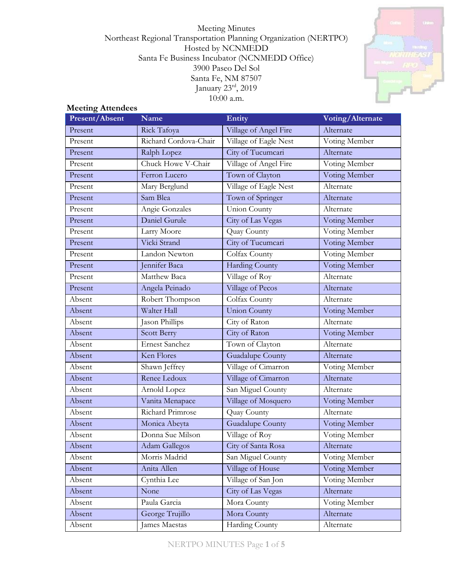Meeting Minutes Northeast Regional Transportation Planning Organization (NERTPO) Hosted by NCNMEDD Santa Fe Business Incubator (NCNMEDD Office) 3900 Paseo Del Sol Santa Fe, NM 87507 January 23rd, 2019 10:00 a.m.



#### **Meeting Attendees**

| Present/Absent | Name                  | Entity                | Voting/Alternate |
|----------------|-----------------------|-----------------------|------------------|
| Present        | Rick Tafoya           | Village of Angel Fire | Alternate        |
| Present        | Richard Cordova-Chair | Village of Eagle Nest | Voting Member    |
| Present        | Ralph Lopez           | City of Tucumcari     | Alternate        |
| Present        | Chuck Howe V-Chair    | Village of Angel Fire | Voting Member    |
| Present        | Ferron Lucero         | Town of Clayton       | Voting Member    |
| Present        | Mary Berglund         | Village of Eagle Nest | Alternate        |
| Present        | Sam Blea              | Town of Springer      | Alternate        |
| Present        | Angie Gonzales        | <b>Union County</b>   | Alternate        |
| Present        | Daniel Gurule         | City of Las Vegas     | Voting Member    |
| Present        | Larry Moore           | Quay County           | Voting Member    |
| Present        | Vicki Strand          | City of Tucumcari     | Voting Member    |
| Present        | Landon Newton         | Colfax County         | Voting Member    |
| Present        | Jennifer Baca         | <b>Harding County</b> | Voting Member    |
| Present        | Matthew Baca          | Village of Roy        | Alternate        |
| Present        | Angela Peinado        | Village of Pecos      | Alternate        |
| Absent         | Robert Thompson       | Colfax County         | Alternate        |
| Absent         | Walter Hall           | <b>Union County</b>   | Voting Member    |
| Absent         | Jason Phillips        | City of Raton         | Alternate        |
| Absent         | Scott Berry           | City of Raton         | Voting Member    |
| Absent         | <b>Ernest Sanchez</b> | Town of Clayton       | Alternate        |
| Absent         | Ken Flores            | Guadalupe County      | Alternate        |
| Absent         | Shawn Jeffrey         | Village of Cimarron   | Voting Member    |
| Absent         | Renee Ledoux          | Village of Cimarron   | Alternate        |
| Absent         | Arnold Lopez          | San Miguel County     | Alternate        |
| Absent         | Vanita Menapace       | Village of Mosquero   | Voting Member    |
| Absent         | Richard Primrose      | Quay County           | Alternate        |
| Absent         | Monica Abeyta         | Guadalupe County      | Voting Member    |
| Absent         | Donna Sue Milson      | Village of Roy        | Voting Member    |
| Absent         | Adam Gallegos         | City of Santa Rosa    | Alternate        |
| Absent         | Morris Madrid         | San Miguel County     | Voting Member    |
| Absent         | Anita Allen           | Village of House      | Voting Member    |
| Absent         | Cynthia Lee           | Village of San Jon    | Voting Member    |
| Absent         | None                  | City of Las Vegas     | Alternate        |
| Absent         | Paula Garcia          | Mora County           | Voting Member    |
| Absent         | George Trujillo       | Mora County           | Alternate        |
| Absent         | James Maestas         | Harding County        | Alternate        |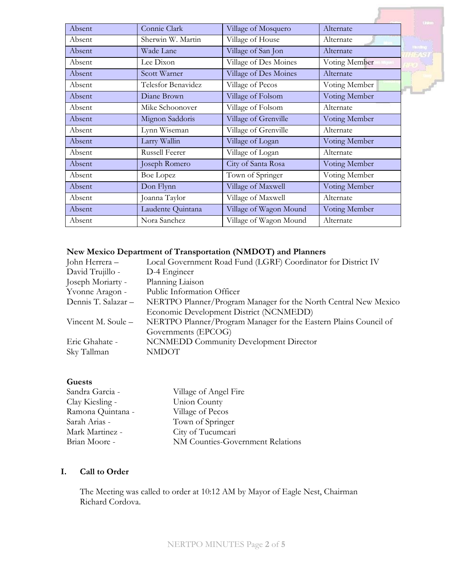|        |                       |                        |               | Unitary          |
|--------|-----------------------|------------------------|---------------|------------------|
| Absent | Connie Clark          | Village of Mosquero    | Alternate     |                  |
| Absent | Sherwin W. Martin     | Village of House       | Alternate     |                  |
| Absent | Wade Lane             | Village of San Jon     | Alternate     | <b>Flanciano</b> |
| Absent | Lee Dixon             | Village of Des Moines  | Voting Member |                  |
| Absent | Scott Warner          | Village of Des Moines  | Alternate     |                  |
| Absent | Telesfor Benavidez    | Village of Pecos       | Voting Member |                  |
| Absent | Diane Brown           | Village of Folsom      | Voting Member |                  |
| Absent | Mike Schoonover       | Village of Folsom      | Alternate     |                  |
| Absent | Mignon Saddoris       | Village of Grenville   | Voting Member |                  |
| Absent | Lynn Wiseman          | Village of Grenville   | Alternate     |                  |
| Absent | Larry Wallin          | Village of Logan       | Voting Member |                  |
| Absent | <b>Russell Feerer</b> | Village of Logan       | Alternate     |                  |
| Absent | Joseph Romero         | City of Santa Rosa     | Voting Member |                  |
| Absent | <b>Boe Lopez</b>      | Town of Springer       | Voting Member |                  |
| Absent | Don Flynn             | Village of Maxwell     | Voting Member |                  |
| Absent | Joanna Taylor         | Village of Maxwell     | Alternate     |                  |
| Absent | Laudente Quintana     | Village of Wagon Mound | Voting Member |                  |
| Absent | Nora Sanchez          | Village of Wagon Mound | Alternate     |                  |

# **New Mexico Department of Transportation (NMDOT) and Planners**

| John Herrera –      | Local Government Road Fund (LGRF) Coordinator for District IV    |  |  |
|---------------------|------------------------------------------------------------------|--|--|
| David Trujillo -    | D-4 Engineer                                                     |  |  |
| Joseph Moriarty -   | Planning Liaison                                                 |  |  |
| Yvonne Aragon -     | Public Information Officer                                       |  |  |
| Dennis T. Salazar - | NERTPO Planner/Program Manager for the North Central New Mexico  |  |  |
|                     | Economic Development District (NCNMEDD)                          |  |  |
| Vincent M. Soule -  | NERTPO Planner/Program Manager for the Eastern Plains Council of |  |  |
|                     | Governments (EPCOG)                                              |  |  |
| Eric Ghahate -      | <b>NCNMEDD Community Development Director</b>                    |  |  |
| Sky Tallman         | <b>NMDOT</b>                                                     |  |  |
|                     |                                                                  |  |  |

### **Guests**

| Village of Angel Fire            |
|----------------------------------|
| Union County                     |
| Village of Pecos                 |
| Town of Springer                 |
| City of Tucumcari                |
| NM Counties-Government Relations |
|                                  |

## **I. Call to Order**

The Meeting was called to order at 10:12 AM by Mayor of Eagle Nest, Chairman Richard Cordova.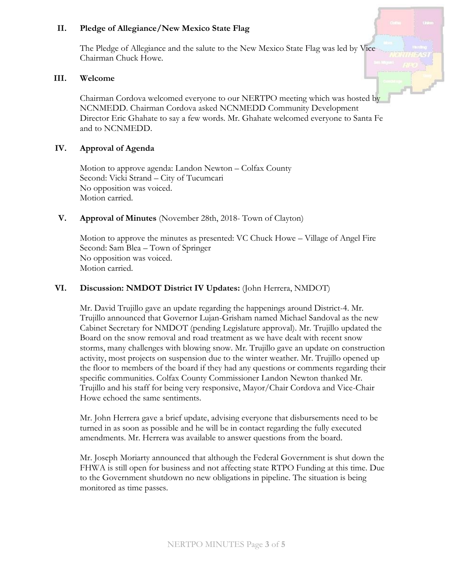### **II. Pledge of Allegiance/New Mexico State Flag**

The Pledge of Allegiance and the salute to the New Mexico State Flag was led by Vice Chairman Chuck Howe.

#### **III. Welcome**

Chairman Cordova welcomed everyone to our NERTPO meeting which was hosted by NCNMEDD. Chairman Cordova asked NCNMEDD Community Development Director Eric Ghahate to say a few words. Mr. Ghahate welcomed everyone to Santa Fe and to NCNMEDD.

### **IV. Approval of Agenda**

Motion to approve agenda: Landon Newton – Colfax County Second: Vicki Strand – City of Tucumcari No opposition was voiced. Motion carried.

### **V. Approval of Minutes** (November 28th, 2018- Town of Clayton)

Motion to approve the minutes as presented: VC Chuck Howe – Village of Angel Fire Second: Sam Blea – Town of Springer No opposition was voiced. Motion carried.

### **VI. Discussion: NMDOT District IV Updates:** (John Herrera, NMDOT)

Mr. David Trujillo gave an update regarding the happenings around District-4. Mr. Trujillo announced that Governor Lujan-Grisham named Michael Sandoval as the new Cabinet Secretary for NMDOT (pending Legislature approval). Mr. Trujillo updated the Board on the snow removal and road treatment as we have dealt with recent snow storms, many challenges with blowing snow. Mr. Trujillo gave an update on construction activity, most projects on suspension due to the winter weather. Mr. Trujillo opened up the floor to members of the board if they had any questions or comments regarding their specific communities. Colfax County Commissioner Landon Newton thanked Mr. Trujillo and his staff for being very responsive, Mayor/Chair Cordova and Vice-Chair Howe echoed the same sentiments.

Mr. John Herrera gave a brief update, advising everyone that disbursements need to be turned in as soon as possible and he will be in contact regarding the fully executed amendments. Mr. Herrera was available to answer questions from the board.

Mr. Joseph Moriarty announced that although the Federal Government is shut down the FHWA is still open for business and not affecting state RTPO Funding at this time. Due to the Government shutdown no new obligations in pipeline. The situation is being monitored as time passes.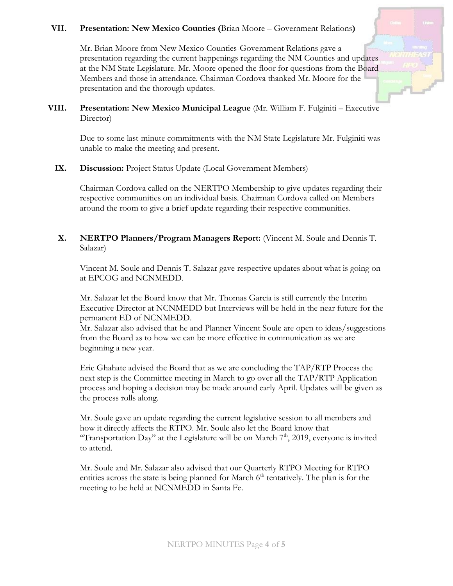### **VII. Presentation: New Mexico Counties (**Brian Moore – Government Relations**)**

Mr. Brian Moore from New Mexico Counties-Government Relations gave a presentation regarding the current happenings regarding the NM Counties and updates at the NM State Legislature. Mr. Moore opened the floor for questions from the Board Members and those in attendance. Chairman Cordova thanked Mr. Moore for the presentation and the thorough updates.

**VIII. Presentation: New Mexico Municipal League** (Mr. William F. Fulginiti – Executive Director)

Due to some last-minute commitments with the NM State Legislature Mr. Fulginiti was unable to make the meeting and present.

### IX. Discussion: Project Status Update (Local Government Members)

Chairman Cordova called on the NERTPO Membership to give updates regarding their respective communities on an individual basis. Chairman Cordova called on Members around the room to give a brief update regarding their respective communities.

**X. NERTPO Planners/Program Managers Report:** (Vincent M. Soule and Dennis T. Salazar)

Vincent M. Soule and Dennis T. Salazar gave respective updates about what is going on at EPCOG and NCNMEDD.

Mr. Salazar let the Board know that Mr. Thomas Garcia is still currently the Interim Executive Director at NCNMEDD but Interviews will be held in the near future for the permanent ED of NCNMEDD.

Mr. Salazar also advised that he and Planner Vincent Soule are open to ideas/suggestions from the Board as to how we can be more effective in communication as we are beginning a new year.

Eric Ghahate advised the Board that as we are concluding the TAP/RTP Process the next step is the Committee meeting in March to go over all the TAP/RTP Application process and hoping a decision may be made around early April. Updates will be given as the process rolls along.

Mr. Soule gave an update regarding the current legislative session to all members and how it directly affects the RTPO. Mr. Soule also let the Board know that "Transportation Day" at the Legislature will be on March  $7<sup>th</sup>$ , 2019, everyone is invited to attend.

Mr. Soule and Mr. Salazar also advised that our Quarterly RTPO Meeting for RTPO entities across the state is being planned for March  $6<sup>th</sup>$  tentatively. The plan is for the meeting to be held at NCNMEDD in Santa Fe.